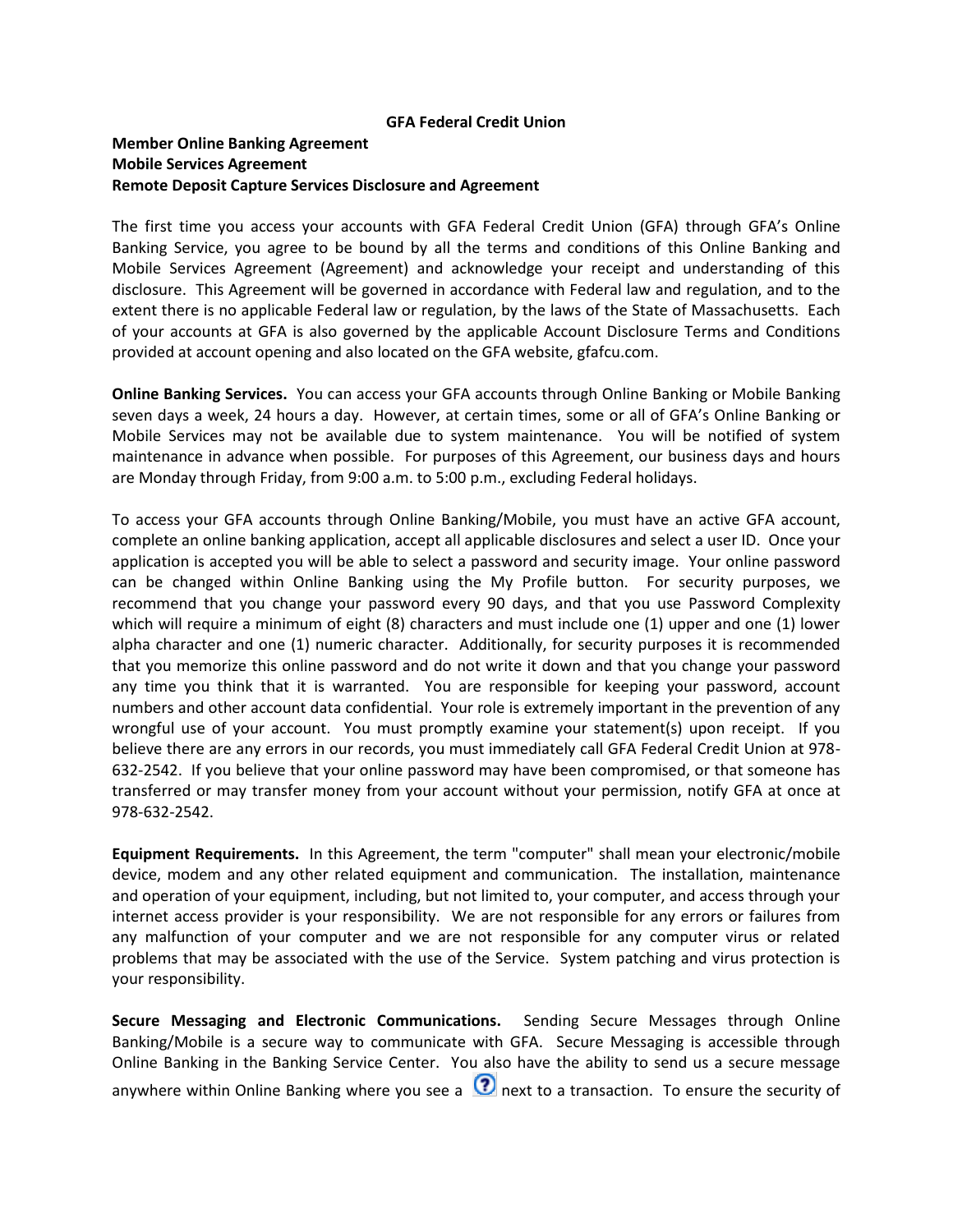#### **GFA Federal Credit Union**

# **Member Online Banking Agreement Mobile Services Agreement Remote Deposit Capture Services Disclosure and Agreement**

The first time you access your accounts with GFA Federal Credit Union (GFA) through GFA's Online Banking Service, you agree to be bound by all the terms and conditions of this Online Banking and Mobile Services Agreement (Agreement) and acknowledge your receipt and understanding of this disclosure. This Agreement will be governed in accordance with Federal law and regulation, and to the extent there is no applicable Federal law or regulation, by the laws of the State of Massachusetts. Each of your accounts at GFA is also governed by the applicable Account Disclosure Terms and Conditions provided at account opening and also located on the GFA website, gfafcu.com.

**Online Banking Services.** You can access your GFA accounts through Online Banking or Mobile Banking seven days a week, 24 hours a day. However, at certain times, some or all of GFA's Online Banking or Mobile Services may not be available due to system maintenance. You will be notified of system maintenance in advance when possible. For purposes of this Agreement, our business days and hours are Monday through Friday, from 9:00 a.m. to 5:00 p.m., excluding Federal holidays.

To access your GFA accounts through Online Banking/Mobile, you must have an active GFA account, complete an online banking application, accept all applicable disclosures and select a user ID. Once your application is accepted you will be able to select a password and security image. Your online password can be changed within Online Banking using the My Profile button. For security purposes, we recommend that you change your password every 90 days, and that you use Password Complexity which will require a minimum of eight (8) characters and must include one (1) upper and one (1) lower alpha character and one (1) numeric character. Additionally, for security purposes it is recommended that you memorize this online password and do not write it down and that you change your password any time you think that it is warranted. You are responsible for keeping your password, account numbers and other account data confidential. Your role is extremely important in the prevention of any wrongful use of your account. You must promptly examine your statement(s) upon receipt. If you believe there are any errors in our records, you must immediately call GFA Federal Credit Union at 978- 632-2542. If you believe that your online password may have been compromised, or that someone has transferred or may transfer money from your account without your permission, notify GFA at once at 978-632-2542.

**Equipment Requirements.** In this Agreement, the term "computer" shall mean your electronic/mobile device, modem and any other related equipment and communication. The installation, maintenance and operation of your equipment, including, but not limited to, your computer, and access through your internet access provider is your responsibility. We are not responsible for any errors or failures from any malfunction of your computer and we are not responsible for any computer virus or related problems that may be associated with the use of the Service. System patching and virus protection is your responsibility.

**Secure Messaging and Electronic Communications.** Sending Secure Messages through Online Banking/Mobile is a secure way to communicate with GFA. Secure Messaging is accessible through Online Banking in the Banking Service Center. You also have the ability to send us a secure message anywhere within Online Banking where you see a  $\Omega$  next to a transaction. To ensure the security of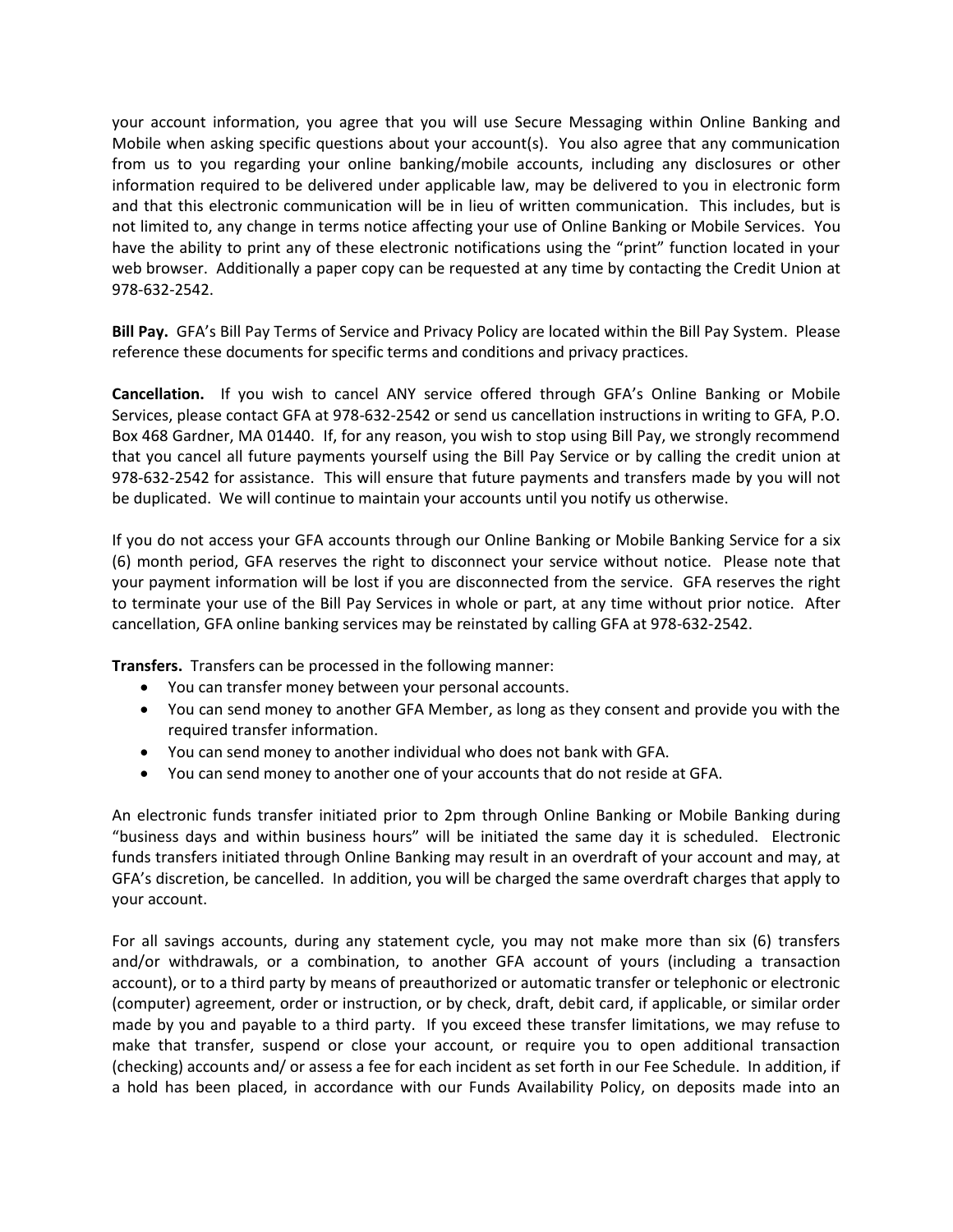your account information, you agree that you will use Secure Messaging within Online Banking and Mobile when asking specific questions about your account(s). You also agree that any communication from us to you regarding your online banking/mobile accounts, including any disclosures or other information required to be delivered under applicable law, may be delivered to you in electronic form and that this electronic communication will be in lieu of written communication. This includes, but is not limited to, any change in terms notice affecting your use of Online Banking or Mobile Services. You have the ability to print any of these electronic notifications using the "print" function located in your web browser. Additionally a paper copy can be requested at any time by contacting the Credit Union at 978-632-2542.

**Bill Pay.** GFA's Bill Pay Terms of Service and Privacy Policy are located within the Bill Pay System. Please reference these documents for specific terms and conditions and privacy practices.

**Cancellation.** If you wish to cancel ANY service offered through GFA's Online Banking or Mobile Services, please contact GFA at 978-632-2542 or send us cancellation instructions in writing to GFA, P.O. Box 468 Gardner, MA 01440. If, for any reason, you wish to stop using Bill Pay, we strongly recommend that you cancel all future payments yourself using the Bill Pay Service or by calling the credit union at 978-632-2542 for assistance. This will ensure that future payments and transfers made by you will not be duplicated. We will continue to maintain your accounts until you notify us otherwise.

If you do not access your GFA accounts through our Online Banking or Mobile Banking Service for a six (6) month period, GFA reserves the right to disconnect your service without notice. Please note that your payment information will be lost if you are disconnected from the service. GFA reserves the right to terminate your use of the Bill Pay Services in whole or part, at any time without prior notice. After cancellation, GFA online banking services may be reinstated by calling GFA at 978-632-2542.

**Transfers.** Transfers can be processed in the following manner:

- You can transfer money between your personal accounts.
- You can send money to another GFA Member, as long as they consent and provide you with the required transfer information.
- You can send money to another individual who does not bank with GFA.
- You can send money to another one of your accounts that do not reside at GFA.

An electronic funds transfer initiated prior to 2pm through Online Banking or Mobile Banking during "business days and within business hours" will be initiated the same day it is scheduled. Electronic funds transfers initiated through Online Banking may result in an overdraft of your account and may, at GFA's discretion, be cancelled. In addition, you will be charged the same overdraft charges that apply to your account.

For all savings accounts, during any statement cycle, you may not make more than six (6) transfers and/or withdrawals, or a combination, to another GFA account of yours (including a transaction account), or to a third party by means of preauthorized or automatic transfer or telephonic or electronic (computer) agreement, order or instruction, or by check, draft, debit card, if applicable, or similar order made by you and payable to a third party. If you exceed these transfer limitations, we may refuse to make that transfer, suspend or close your account, or require you to open additional transaction (checking) accounts and/ or assess a fee for each incident as set forth in our Fee Schedule. In addition, if a hold has been placed, in accordance with our Funds Availability Policy, on deposits made into an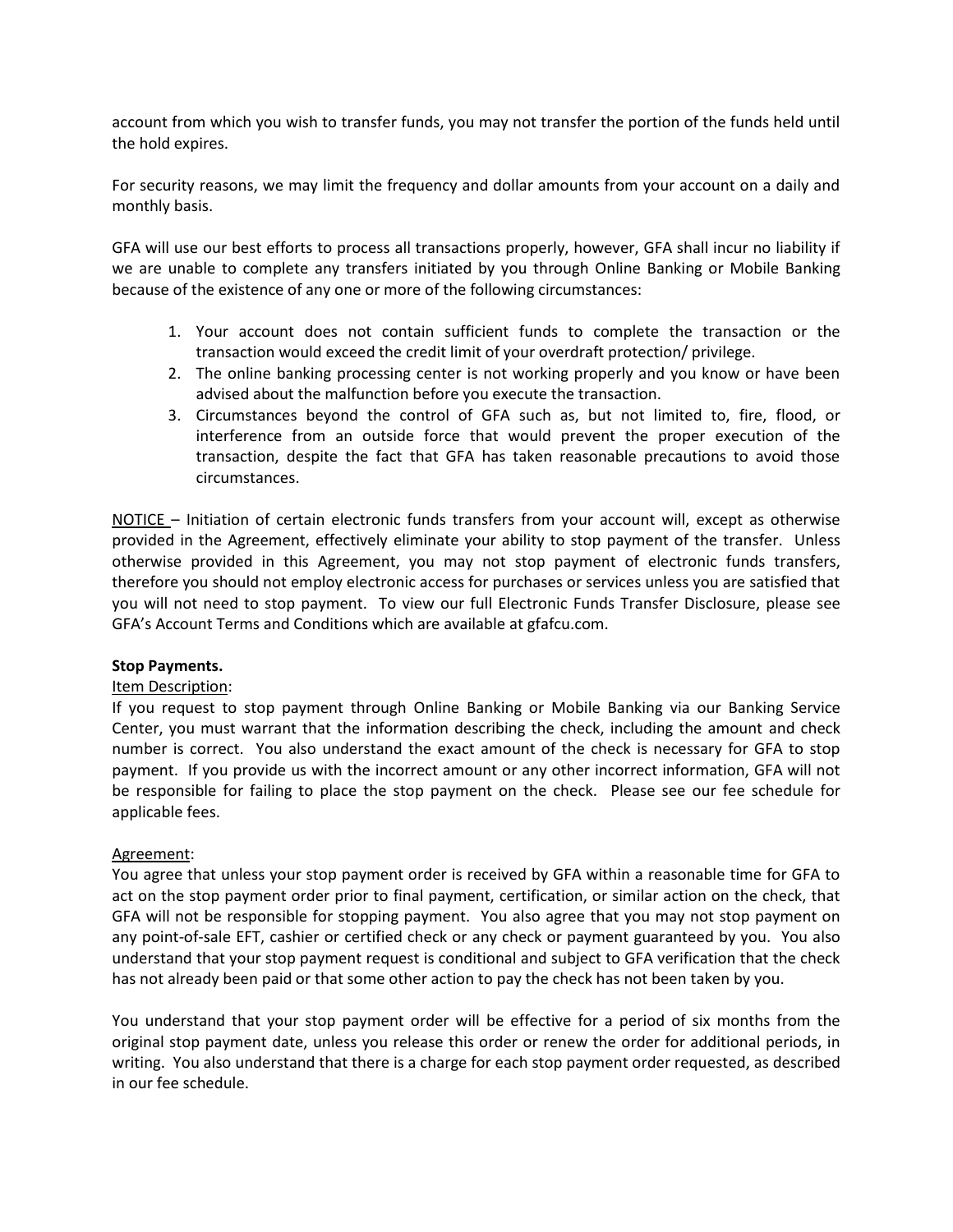account from which you wish to transfer funds, you may not transfer the portion of the funds held until the hold expires.

For security reasons, we may limit the frequency and dollar amounts from your account on a daily and monthly basis.

GFA will use our best efforts to process all transactions properly, however, GFA shall incur no liability if we are unable to complete any transfers initiated by you through Online Banking or Mobile Banking because of the existence of any one or more of the following circumstances:

- 1. Your account does not contain sufficient funds to complete the transaction or the transaction would exceed the credit limit of your overdraft protection/ privilege.
- 2. The online banking processing center is not working properly and you know or have been advised about the malfunction before you execute the transaction.
- 3. Circumstances beyond the control of GFA such as, but not limited to, fire, flood, or interference from an outside force that would prevent the proper execution of the transaction, despite the fact that GFA has taken reasonable precautions to avoid those circumstances.

NOTICE – Initiation of certain electronic funds transfers from your account will, except as otherwise provided in the Agreement, effectively eliminate your ability to stop payment of the transfer. Unless otherwise provided in this Agreement, you may not stop payment of electronic funds transfers, therefore you should not employ electronic access for purchases or services unless you are satisfied that you will not need to stop payment. To view our full Electronic Funds Transfer Disclosure, please see GFA's Account Terms and Conditions which are available at gfafcu.com.

## **Stop Payments.**

## Item Description:

If you request to stop payment through Online Banking or Mobile Banking via our Banking Service Center, you must warrant that the information describing the check, including the amount and check number is correct. You also understand the exact amount of the check is necessary for GFA to stop payment. If you provide us with the incorrect amount or any other incorrect information, GFA will not be responsible for failing to place the stop payment on the check. Please see our fee schedule for applicable fees.

## Agreement:

You agree that unless your stop payment order is received by GFA within a reasonable time for GFA to act on the stop payment order prior to final payment, certification, or similar action on the check, that GFA will not be responsible for stopping payment. You also agree that you may not stop payment on any point-of-sale EFT, cashier or certified check or any check or payment guaranteed by you. You also understand that your stop payment request is conditional and subject to GFA verification that the check has not already been paid or that some other action to pay the check has not been taken by you.

You understand that your stop payment order will be effective for a period of six months from the original stop payment date, unless you release this order or renew the order for additional periods, in writing. You also understand that there is a charge for each stop payment order requested, as described in our fee schedule.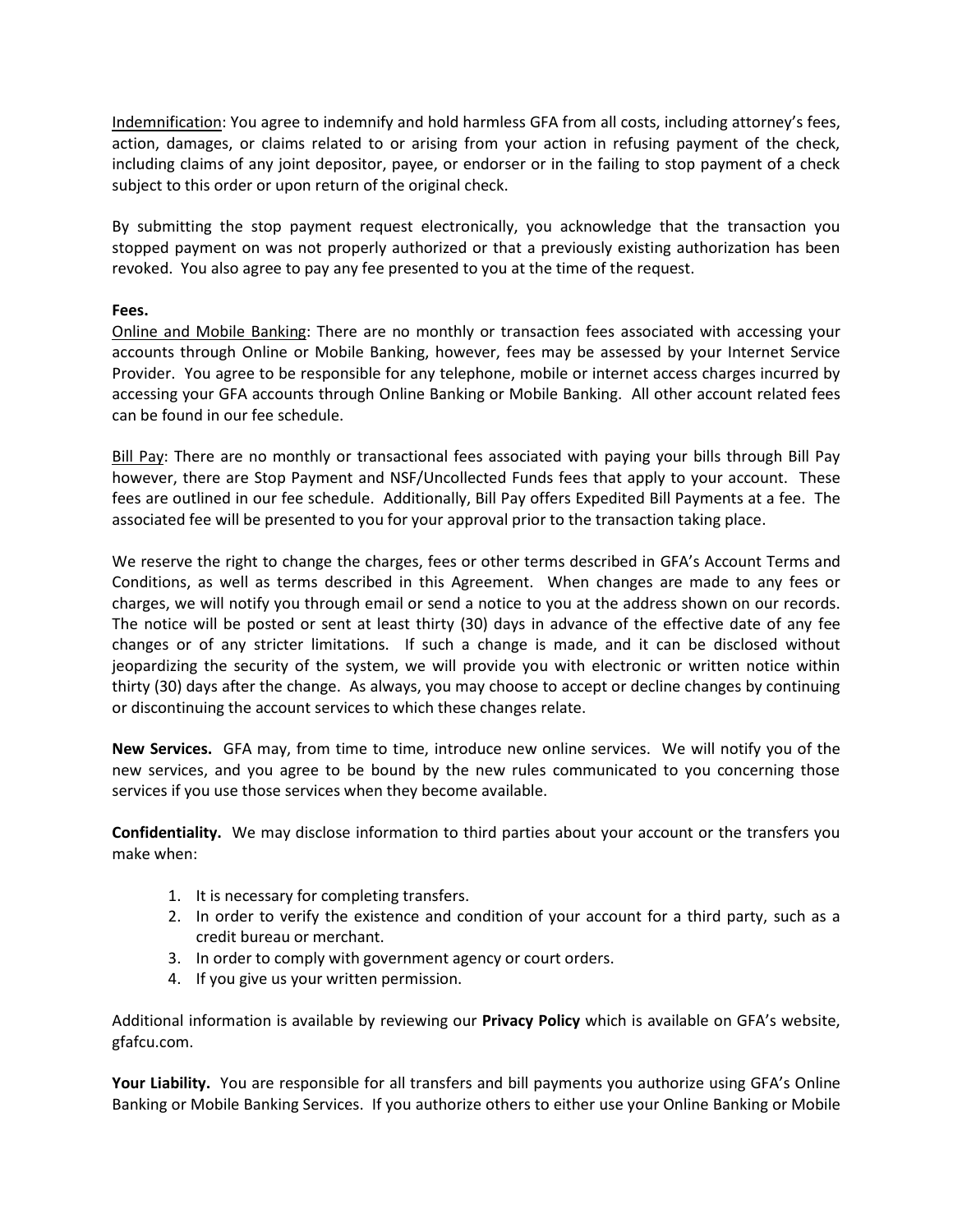Indemnification: You agree to indemnify and hold harmless GFA from all costs, including attorney's fees, action, damages, or claims related to or arising from your action in refusing payment of the check, including claims of any joint depositor, payee, or endorser or in the failing to stop payment of a check subject to this order or upon return of the original check.

By submitting the stop payment request electronically, you acknowledge that the transaction you stopped payment on was not properly authorized or that a previously existing authorization has been revoked. You also agree to pay any fee presented to you at the time of the request.

## **Fees.**

Online and Mobile Banking: There are no monthly or transaction fees associated with accessing your accounts through Online or Mobile Banking, however, fees may be assessed by your Internet Service Provider. You agree to be responsible for any telephone, mobile or internet access charges incurred by accessing your GFA accounts through Online Banking or Mobile Banking. All other account related fees can be found in our fee schedule.

Bill Pay: There are no monthly or transactional fees associated with paying your bills through Bill Pay however, there are Stop Payment and NSF/Uncollected Funds fees that apply to your account. These fees are outlined in our fee schedule. Additionally, Bill Pay offers Expedited Bill Payments at a fee. The associated fee will be presented to you for your approval prior to the transaction taking place.

We reserve the right to change the charges, fees or other terms described in GFA's Account Terms and Conditions, as well as terms described in this Agreement. When changes are made to any fees or charges, we will notify you through email or send a notice to you at the address shown on our records. The notice will be posted or sent at least thirty (30) days in advance of the effective date of any fee changes or of any stricter limitations. If such a change is made, and it can be disclosed without jeopardizing the security of the system, we will provide you with electronic or written notice within thirty (30) days after the change. As always, you may choose to accept or decline changes by continuing or discontinuing the account services to which these changes relate.

**New Services.** GFA may, from time to time, introduce new online services. We will notify you of the new services, and you agree to be bound by the new rules communicated to you concerning those services if you use those services when they become available.

**Confidentiality.** We may disclose information to third parties about your account or the transfers you make when:

- 1. It is necessary for completing transfers.
- 2. In order to verify the existence and condition of your account for a third party, such as a credit bureau or merchant.
- 3. In order to comply with government agency or court orders.
- 4. If you give us your written permission.

Additional information is available by reviewing our **Privacy Policy** which is available on GFA's website, gfafcu.com.

**Your Liability.** You are responsible for all transfers and bill payments you authorize using GFA's Online Banking or Mobile Banking Services. If you authorize others to either use your Online Banking or Mobile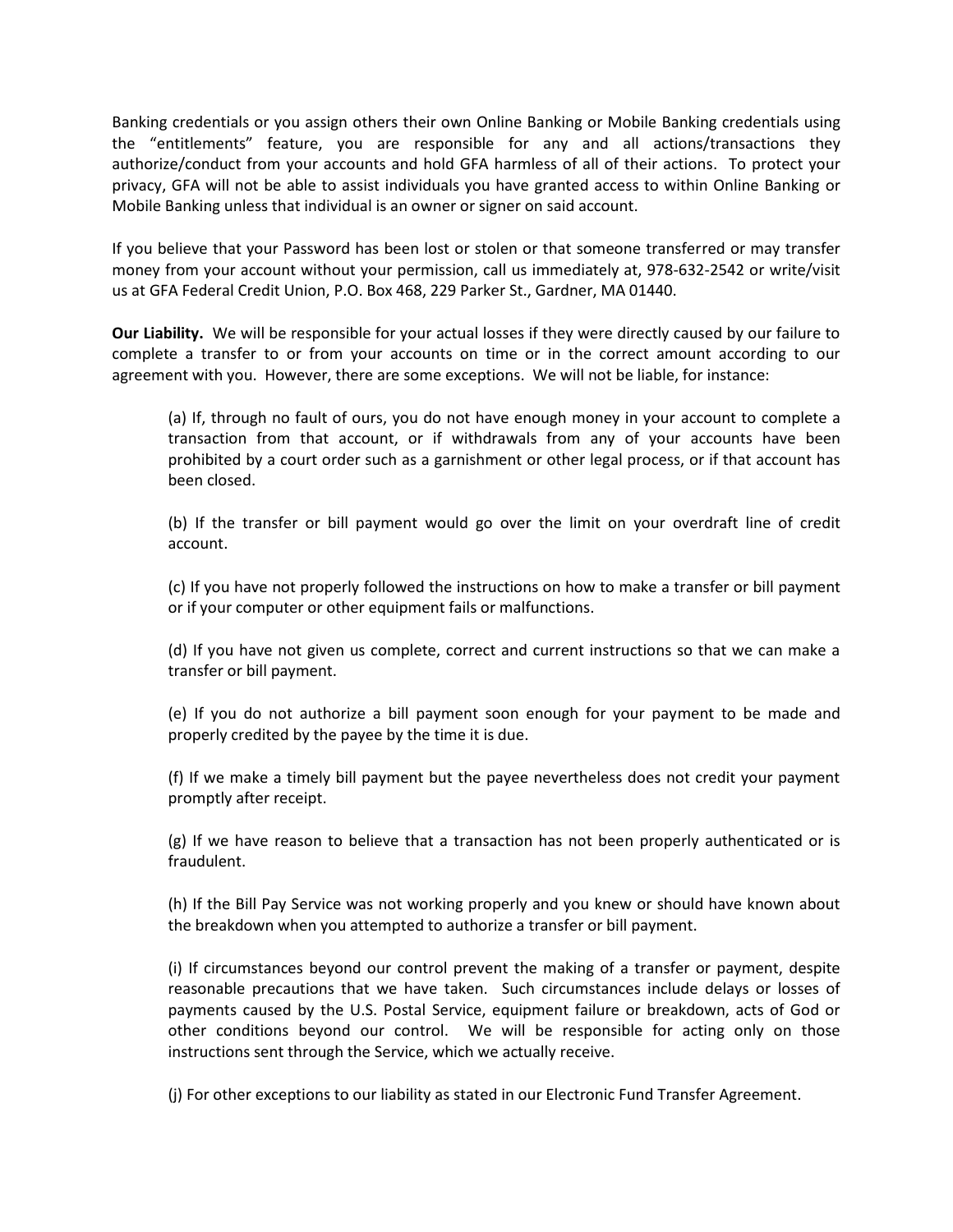Banking credentials or you assign others their own Online Banking or Mobile Banking credentials using the "entitlements" feature, you are responsible for any and all actions/transactions they authorize/conduct from your accounts and hold GFA harmless of all of their actions. To protect your privacy, GFA will not be able to assist individuals you have granted access to within Online Banking or Mobile Banking unless that individual is an owner or signer on said account.

If you believe that your Password has been lost or stolen or that someone transferred or may transfer money from your account without your permission, call us immediately at, 978-632-2542 or write/visit us at GFA Federal Credit Union, P.O. Box 468, 229 Parker St., Gardner, MA 01440.

**Our Liability.** We will be responsible for your actual losses if they were directly caused by our failure to complete a transfer to or from your accounts on time or in the correct amount according to our agreement with you. However, there are some exceptions. We will not be liable, for instance:

(a) If, through no fault of ours, you do not have enough money in your account to complete a transaction from that account, or if withdrawals from any of your accounts have been prohibited by a court order such as a garnishment or other legal process, or if that account has been closed.

(b) If the transfer or bill payment would go over the limit on your overdraft line of credit account.

(c) If you have not properly followed the instructions on how to make a transfer or bill payment or if your computer or other equipment fails or malfunctions.

(d) If you have not given us complete, correct and current instructions so that we can make a transfer or bill payment.

(e) If you do not authorize a bill payment soon enough for your payment to be made and properly credited by the payee by the time it is due.

(f) If we make a timely bill payment but the payee nevertheless does not credit your payment promptly after receipt.

(g) If we have reason to believe that a transaction has not been properly authenticated or is fraudulent.

(h) If the Bill Pay Service was not working properly and you knew or should have known about the breakdown when you attempted to authorize a transfer or bill payment.

(i) If circumstances beyond our control prevent the making of a transfer or payment, despite reasonable precautions that we have taken. Such circumstances include delays or losses of payments caused by the U.S. Postal Service, equipment failure or breakdown, acts of God or other conditions beyond our control. We will be responsible for acting only on those instructions sent through the Service, which we actually receive.

(j) For other exceptions to our liability as stated in our Electronic Fund Transfer Agreement.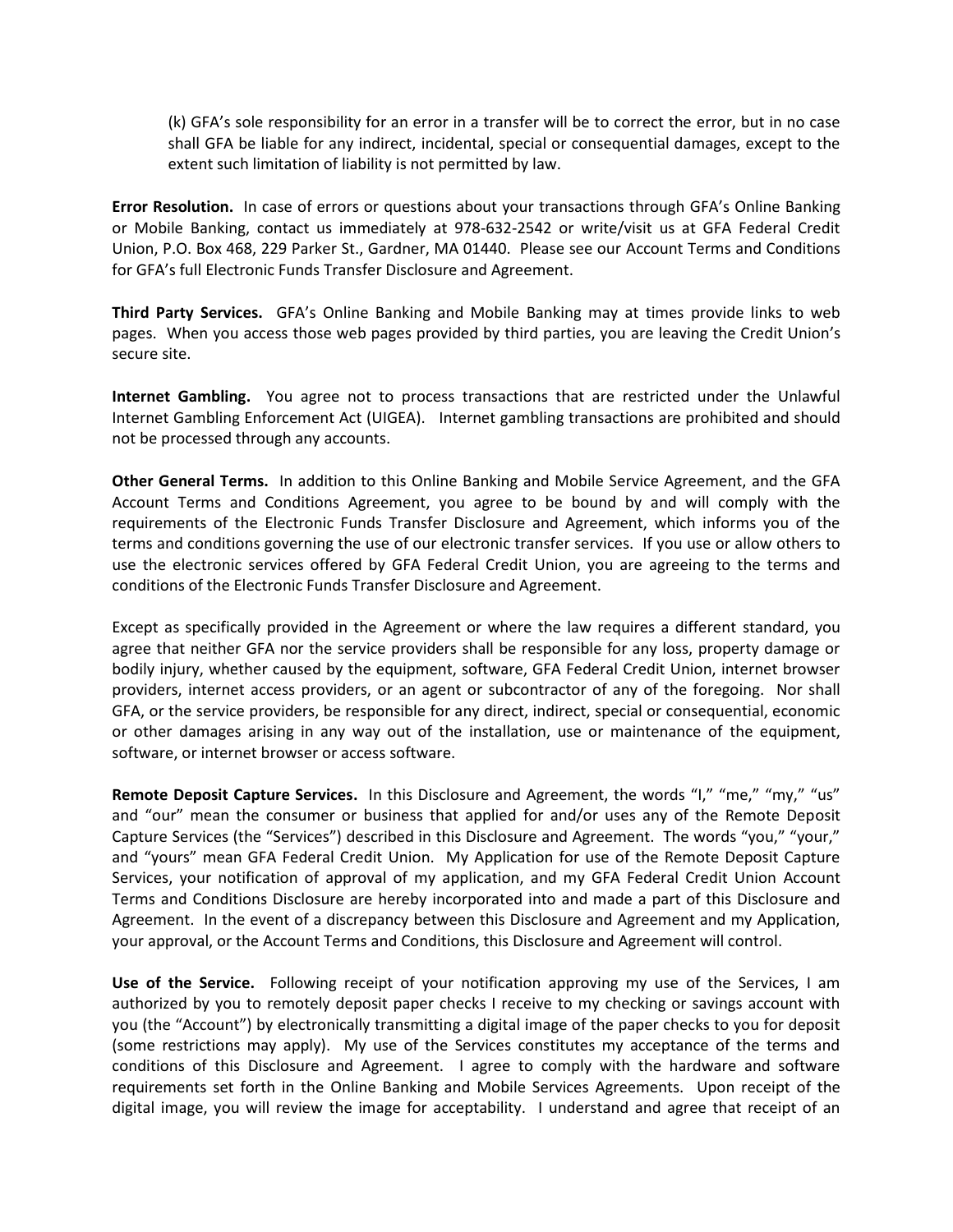(k) GFA's sole responsibility for an error in a transfer will be to correct the error, but in no case shall GFA be liable for any indirect, incidental, special or consequential damages, except to the extent such limitation of liability is not permitted by law.

**Error Resolution.** In case of errors or questions about your transactions through GFA's Online Banking or Mobile Banking, contact us immediately at 978-632-2542 or write/visit us at GFA Federal Credit Union, P.O. Box 468, 229 Parker St., Gardner, MA 01440. Please see our Account Terms and Conditions for GFA's full Electronic Funds Transfer Disclosure and Agreement.

**Third Party Services.** GFA's Online Banking and Mobile Banking may at times provide links to web pages. When you access those web pages provided by third parties, you are leaving the Credit Union's secure site.

**Internet Gambling.** You agree not to process transactions that are restricted under the Unlawful Internet Gambling Enforcement Act (UIGEA). Internet gambling transactions are prohibited and should not be processed through any accounts.

**Other General Terms.** In addition to this Online Banking and Mobile Service Agreement, and the GFA Account Terms and Conditions Agreement, you agree to be bound by and will comply with the requirements of the Electronic Funds Transfer Disclosure and Agreement, which informs you of the terms and conditions governing the use of our electronic transfer services. If you use or allow others to use the electronic services offered by GFA Federal Credit Union, you are agreeing to the terms and conditions of the Electronic Funds Transfer Disclosure and Agreement.

Except as specifically provided in the Agreement or where the law requires a different standard, you agree that neither GFA nor the service providers shall be responsible for any loss, property damage or bodily injury, whether caused by the equipment, software, GFA Federal Credit Union, internet browser providers, internet access providers, or an agent or subcontractor of any of the foregoing. Nor shall GFA, or the service providers, be responsible for any direct, indirect, special or consequential, economic or other damages arising in any way out of the installation, use or maintenance of the equipment, software, or internet browser or access software.

**Remote Deposit Capture Services.** In this Disclosure and Agreement, the words "I," "me," "my," "us" and "our" mean the consumer or business that applied for and/or uses any of the Remote Deposit Capture Services (the "Services") described in this Disclosure and Agreement. The words "you," "your," and "yours" mean GFA Federal Credit Union. My Application for use of the Remote Deposit Capture Services, your notification of approval of my application, and my GFA Federal Credit Union Account Terms and Conditions Disclosure are hereby incorporated into and made a part of this Disclosure and Agreement. In the event of a discrepancy between this Disclosure and Agreement and my Application, your approval, or the Account Terms and Conditions, this Disclosure and Agreement will control.

**Use of the Service.** Following receipt of your notification approving my use of the Services, I am authorized by you to remotely deposit paper checks I receive to my checking or savings account with you (the "Account") by electronically transmitting a digital image of the paper checks to you for deposit (some restrictions may apply). My use of the Services constitutes my acceptance of the terms and conditions of this Disclosure and Agreement. I agree to comply with the hardware and software requirements set forth in the Online Banking and Mobile Services Agreements. Upon receipt of the digital image, you will review the image for acceptability. I understand and agree that receipt of an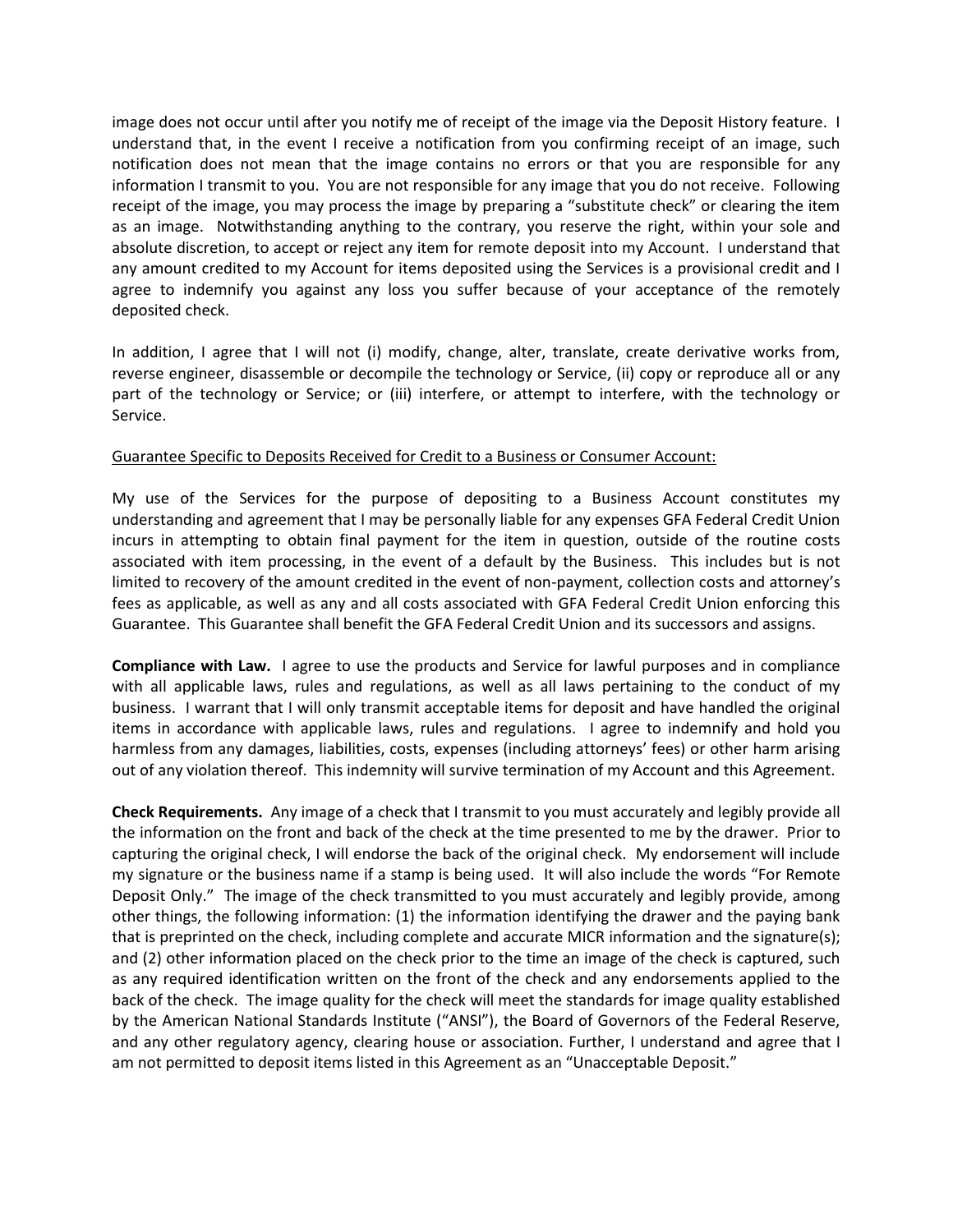image does not occur until after you notify me of receipt of the image via the Deposit History feature. I understand that, in the event I receive a notification from you confirming receipt of an image, such notification does not mean that the image contains no errors or that you are responsible for any information I transmit to you. You are not responsible for any image that you do not receive. Following receipt of the image, you may process the image by preparing a "substitute check" or clearing the item as an image. Notwithstanding anything to the contrary, you reserve the right, within your sole and absolute discretion, to accept or reject any item for remote deposit into my Account. I understand that any amount credited to my Account for items deposited using the Services is a provisional credit and I agree to indemnify you against any loss you suffer because of your acceptance of the remotely deposited check.

In addition, I agree that I will not (i) modify, change, alter, translate, create derivative works from, reverse engineer, disassemble or decompile the technology or Service, (ii) copy or reproduce all or any part of the technology or Service; or (iii) interfere, or attempt to interfere, with the technology or Service.

## Guarantee Specific to Deposits Received for Credit to a Business or Consumer Account:

My use of the Services for the purpose of depositing to a Business Account constitutes my understanding and agreement that I may be personally liable for any expenses GFA Federal Credit Union incurs in attempting to obtain final payment for the item in question, outside of the routine costs associated with item processing, in the event of a default by the Business. This includes but is not limited to recovery of the amount credited in the event of non-payment, collection costs and attorney's fees as applicable, as well as any and all costs associated with GFA Federal Credit Union enforcing this Guarantee. This Guarantee shall benefit the GFA Federal Credit Union and its successors and assigns.

**Compliance with Law.** I agree to use the products and Service for lawful purposes and in compliance with all applicable laws, rules and regulations, as well as all laws pertaining to the conduct of my business. I warrant that I will only transmit acceptable items for deposit and have handled the original items in accordance with applicable laws, rules and regulations. I agree to indemnify and hold you harmless from any damages, liabilities, costs, expenses (including attorneys' fees) or other harm arising out of any violation thereof. This indemnity will survive termination of my Account and this Agreement.

**Check Requirements.** Any image of a check that I transmit to you must accurately and legibly provide all the information on the front and back of the check at the time presented to me by the drawer. Prior to capturing the original check, I will endorse the back of the original check. My endorsement will include my signature or the business name if a stamp is being used. It will also include the words "For Remote Deposit Only." The image of the check transmitted to you must accurately and legibly provide, among other things, the following information: (1) the information identifying the drawer and the paying bank that is preprinted on the check, including complete and accurate MICR information and the signature(s); and (2) other information placed on the check prior to the time an image of the check is captured, such as any required identification written on the front of the check and any endorsements applied to the back of the check. The image quality for the check will meet the standards for image quality established by the American National Standards Institute ("ANSI"), the Board of Governors of the Federal Reserve, and any other regulatory agency, clearing house or association. Further, I understand and agree that I am not permitted to deposit items listed in this Agreement as an "Unacceptable Deposit."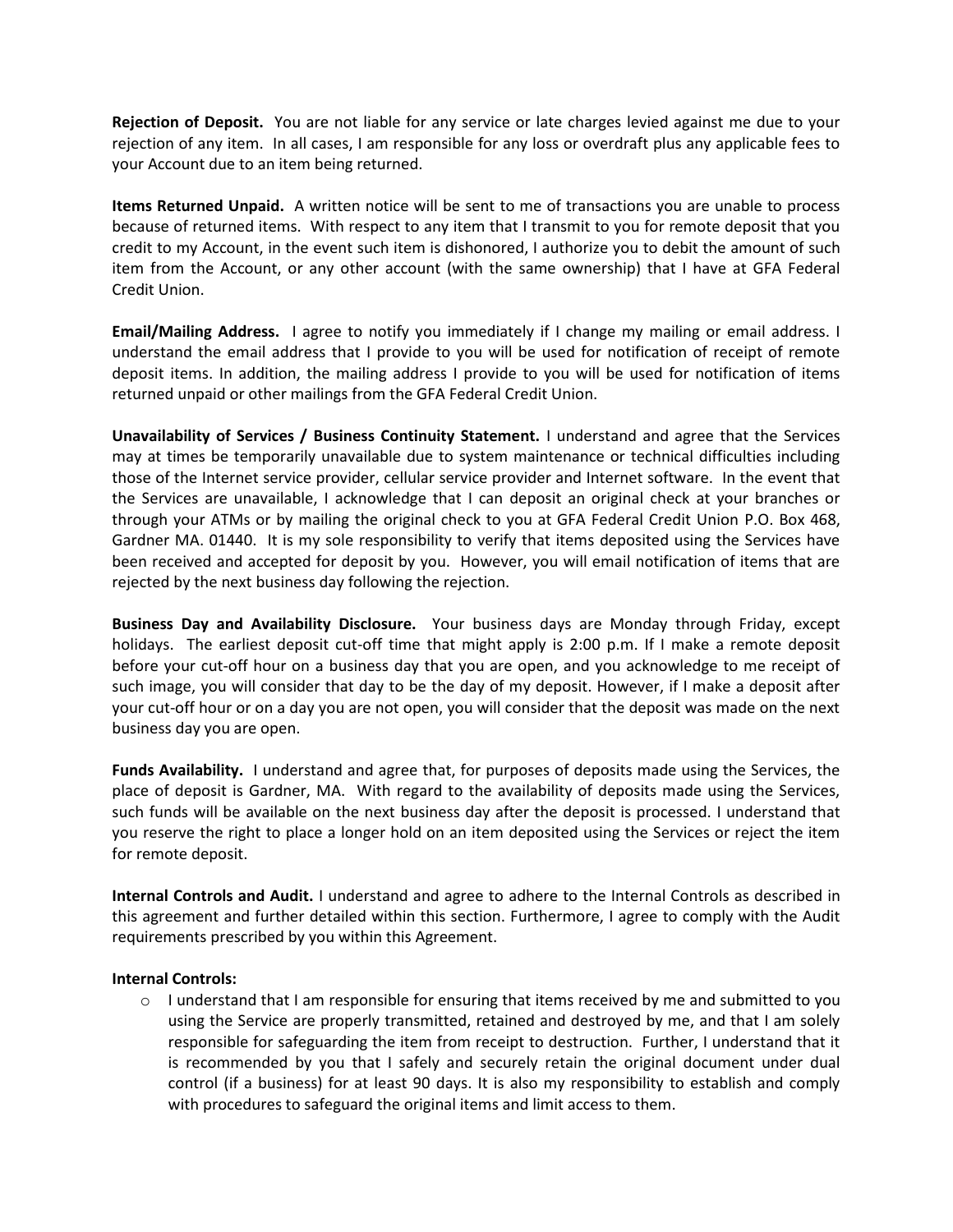**Rejection of Deposit.** You are not liable for any service or late charges levied against me due to your rejection of any item. In all cases, I am responsible for any loss or overdraft plus any applicable fees to your Account due to an item being returned.

**Items Returned Unpaid.** A written notice will be sent to me of transactions you are unable to process because of returned items. With respect to any item that I transmit to you for remote deposit that you credit to my Account, in the event such item is dishonored, I authorize you to debit the amount of such item from the Account, or any other account (with the same ownership) that I have at GFA Federal Credit Union.

**Email/Mailing Address.** I agree to notify you immediately if I change my mailing or email address. I understand the email address that I provide to you will be used for notification of receipt of remote deposit items. In addition, the mailing address I provide to you will be used for notification of items returned unpaid or other mailings from the GFA Federal Credit Union.

**Unavailability of Services / Business Continuity Statement.** I understand and agree that the Services may at times be temporarily unavailable due to system maintenance or technical difficulties including those of the Internet service provider, cellular service provider and Internet software. In the event that the Services are unavailable, I acknowledge that I can deposit an original check at your branches or through your ATMs or by mailing the original check to you at GFA Federal Credit Union P.O. Box 468, Gardner MA. 01440. It is my sole responsibility to verify that items deposited using the Services have been received and accepted for deposit by you. However, you will email notification of items that are rejected by the next business day following the rejection.

**Business Day and Availability Disclosure.** Your business days are Monday through Friday, except holidays. The earliest deposit cut-off time that might apply is 2:00 p.m. If I make a remote deposit before your cut-off hour on a business day that you are open, and you acknowledge to me receipt of such image, you will consider that day to be the day of my deposit. However, if I make a deposit after your cut-off hour or on a day you are not open, you will consider that the deposit was made on the next business day you are open.

**Funds Availability.** I understand and agree that, for purposes of deposits made using the Services, the place of deposit is Gardner, MA. With regard to the availability of deposits made using the Services, such funds will be available on the next business day after the deposit is processed. I understand that you reserve the right to place a longer hold on an item deposited using the Services or reject the item for remote deposit.

**Internal Controls and Audit.** I understand and agree to adhere to the Internal Controls as described in this agreement and further detailed within this section. Furthermore, I agree to comply with the Audit requirements prescribed by you within this Agreement.

## **Internal Controls:**

o I understand that I am responsible for ensuring that items received by me and submitted to you using the Service are properly transmitted, retained and destroyed by me, and that I am solely responsible for safeguarding the item from receipt to destruction. Further, I understand that it is recommended by you that I safely and securely retain the original document under dual control (if a business) for at least 90 days. It is also my responsibility to establish and comply with procedures to safeguard the original items and limit access to them.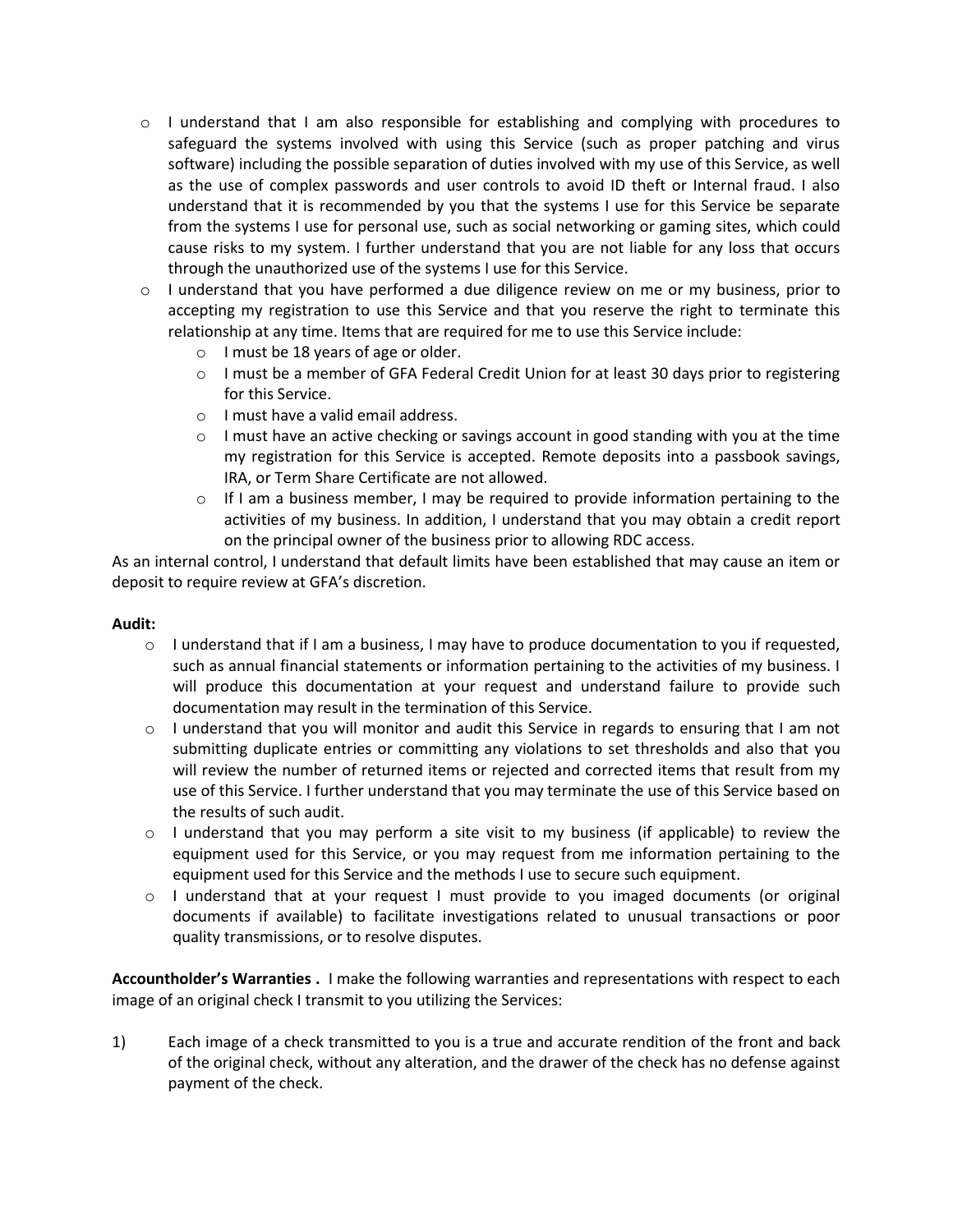- $\circ$  I understand that I am also responsible for establishing and complying with procedures to safeguard the systems involved with using this Service (such as proper patching and virus software) including the possible separation of duties involved with my use of this Service, as well as the use of complex passwords and user controls to avoid ID theft or Internal fraud. I also understand that it is recommended by you that the systems I use for this Service be separate from the systems I use for personal use, such as social networking or gaming sites, which could cause risks to my system. I further understand that you are not liable for any loss that occurs through the unauthorized use of the systems I use for this Service.
- $\circ$  I understand that you have performed a due diligence review on me or my business, prior to accepting my registration to use this Service and that you reserve the right to terminate this relationship at any time. Items that are required for me to use this Service include:
	- o I must be 18 years of age or older.
	- o I must be a member of GFA Federal Credit Union for at least 30 days prior to registering for this Service.
	- o I must have a valid email address.
	- $\circ$  I must have an active checking or savings account in good standing with you at the time my registration for this Service is accepted. Remote deposits into a passbook savings, IRA, or Term Share Certificate are not allowed.
	- $\circ$  If I am a business member, I may be required to provide information pertaining to the activities of my business. In addition, I understand that you may obtain a credit report on the principal owner of the business prior to allowing RDC access.

As an internal control, I understand that default limits have been established that may cause an item or deposit to require review at GFA's discretion.

#### **Audit:**

- $\circ$  I understand that if I am a business, I may have to produce documentation to you if requested, such as annual financial statements or information pertaining to the activities of my business. I will produce this documentation at your request and understand failure to provide such documentation may result in the termination of this Service.
- $\circ$  I understand that you will monitor and audit this Service in regards to ensuring that I am not submitting duplicate entries or committing any violations to set thresholds and also that you will review the number of returned items or rejected and corrected items that result from my use of this Service. I further understand that you may terminate the use of this Service based on the results of such audit.
- $\circ$  I understand that you may perform a site visit to my business (if applicable) to review the equipment used for this Service, or you may request from me information pertaining to the equipment used for this Service and the methods I use to secure such equipment.
- $\circ$  I understand that at your request I must provide to you imaged documents (or original documents if available) to facilitate investigations related to unusual transactions or poor quality transmissions, or to resolve disputes.

**Accountholder's Warranties .** I make the following warranties and representations with respect to each image of an original check I transmit to you utilizing the Services:

1) Each image of a check transmitted to you is a true and accurate rendition of the front and back of the original check, without any alteration, and the drawer of the check has no defense against payment of the check.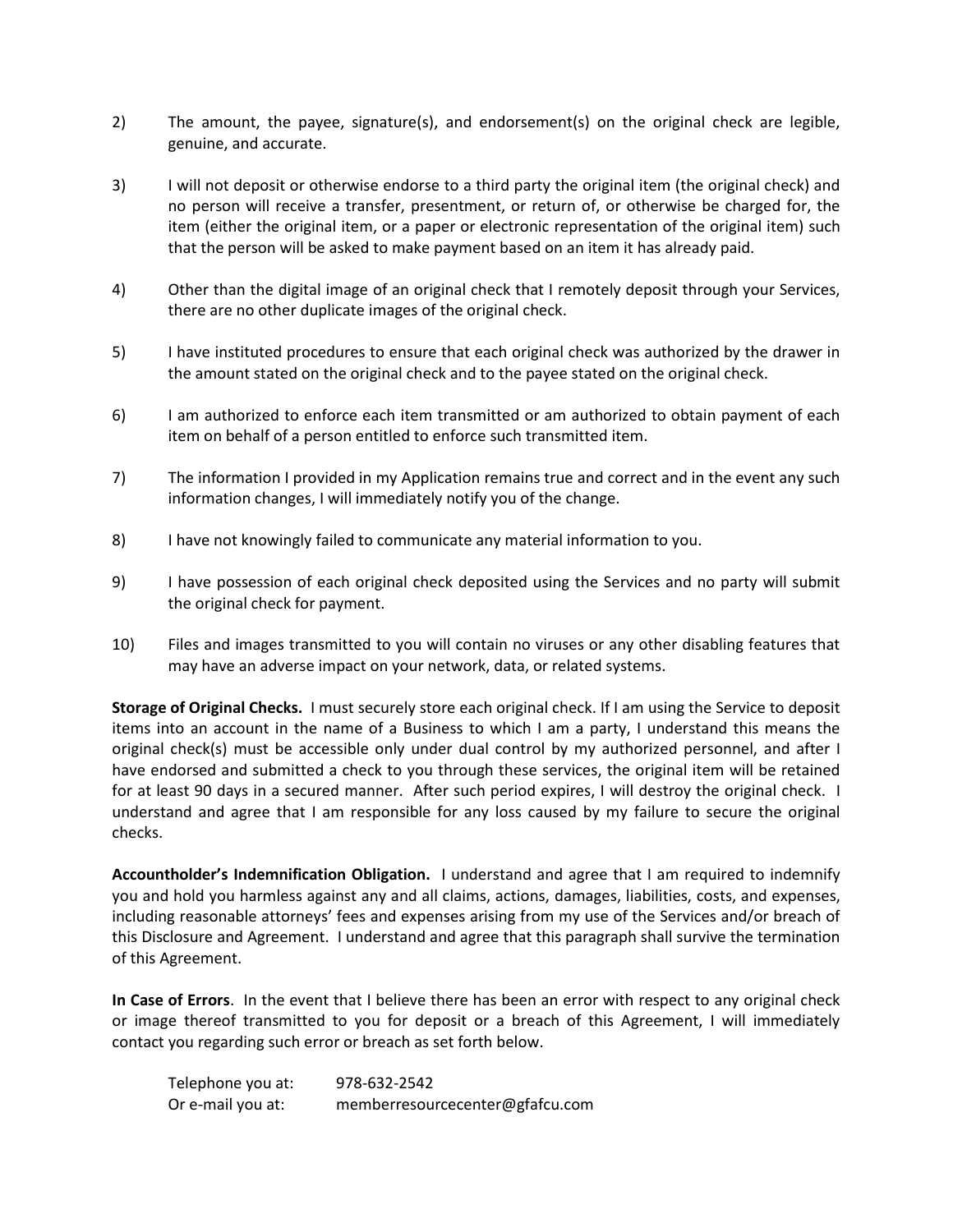- 2) The amount, the payee, signature(s), and endorsement(s) on the original check are legible, genuine, and accurate.
- 3) I will not deposit or otherwise endorse to a third party the original item (the original check) and no person will receive a transfer, presentment, or return of, or otherwise be charged for, the item (either the original item, or a paper or electronic representation of the original item) such that the person will be asked to make payment based on an item it has already paid.
- 4) Other than the digital image of an original check that I remotely deposit through your Services, there are no other duplicate images of the original check.
- 5) I have instituted procedures to ensure that each original check was authorized by the drawer in the amount stated on the original check and to the payee stated on the original check.
- 6) I am authorized to enforce each item transmitted or am authorized to obtain payment of each item on behalf of a person entitled to enforce such transmitted item.
- 7) The information I provided in my Application remains true and correct and in the event any such information changes, I will immediately notify you of the change.
- 8) I have not knowingly failed to communicate any material information to you.
- 9) I have possession of each original check deposited using the Services and no party will submit the original check for payment.
- 10) Files and images transmitted to you will contain no viruses or any other disabling features that may have an adverse impact on your network, data, or related systems.

**Storage of Original Checks.** I must securely store each original check. If I am using the Service to deposit items into an account in the name of a Business to which I am a party, I understand this means the original check(s) must be accessible only under dual control by my authorized personnel, and after I have endorsed and submitted a check to you through these services, the original item will be retained for at least 90 days in a secured manner. After such period expires, I will destroy the original check. I understand and agree that I am responsible for any loss caused by my failure to secure the original checks.

**Accountholder's Indemnification Obligation.** I understand and agree that I am required to indemnify you and hold you harmless against any and all claims, actions, damages, liabilities, costs, and expenses, including reasonable attorneys' fees and expenses arising from my use of the Services and/or breach of this Disclosure and Agreement. I understand and agree that this paragraph shall survive the termination of this Agreement.

**In Case of Errors**. In the event that I believe there has been an error with respect to any original check or image thereof transmitted to you for deposit or a breach of this Agreement, I will immediately contact you regarding such error or breach as set forth below.

| Telephone you at: | 978-632-2542                    |
|-------------------|---------------------------------|
| Or e-mail you at: | memberresourcecenter@gfafcu.com |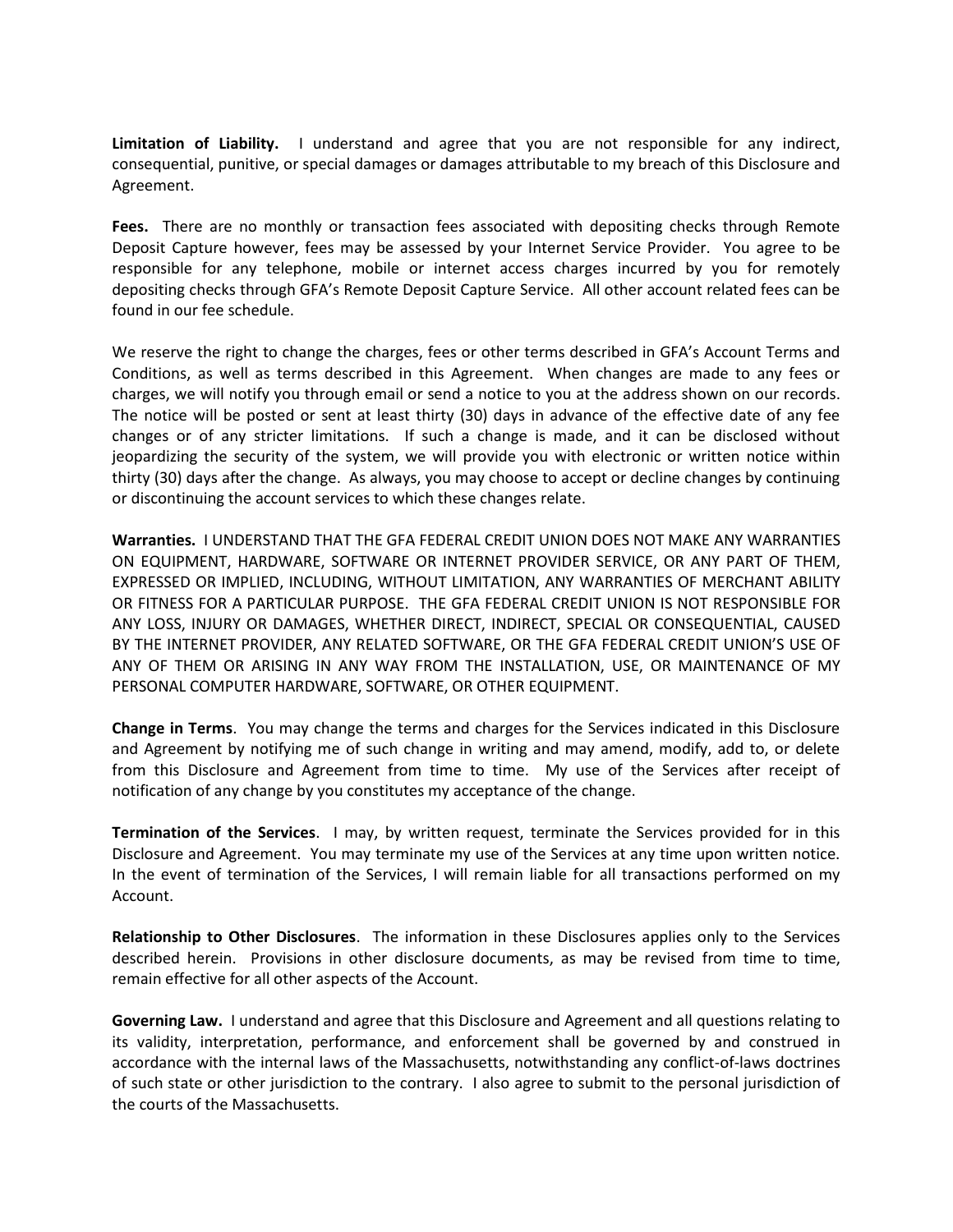**Limitation of Liability.** I understand and agree that you are not responsible for any indirect, consequential, punitive, or special damages or damages attributable to my breach of this Disclosure and Agreement.

Fees. There are no monthly or transaction fees associated with depositing checks through Remote Deposit Capture however, fees may be assessed by your Internet Service Provider. You agree to be responsible for any telephone, mobile or internet access charges incurred by you for remotely depositing checks through GFA's Remote Deposit Capture Service. All other account related fees can be found in our fee schedule.

We reserve the right to change the charges, fees or other terms described in GFA's Account Terms and Conditions, as well as terms described in this Agreement. When changes are made to any fees or charges, we will notify you through email or send a notice to you at the address shown on our records. The notice will be posted or sent at least thirty (30) days in advance of the effective date of any fee changes or of any stricter limitations. If such a change is made, and it can be disclosed without jeopardizing the security of the system, we will provide you with electronic or written notice within thirty (30) days after the change. As always, you may choose to accept or decline changes by continuing or discontinuing the account services to which these changes relate.

**Warranties.** I UNDERSTAND THAT THE GFA FEDERAL CREDIT UNION DOES NOT MAKE ANY WARRANTIES ON EQUIPMENT, HARDWARE, SOFTWARE OR INTERNET PROVIDER SERVICE, OR ANY PART OF THEM, EXPRESSED OR IMPLIED, INCLUDING, WITHOUT LIMITATION, ANY WARRANTIES OF MERCHANT ABILITY OR FITNESS FOR A PARTICULAR PURPOSE. THE GFA FEDERAL CREDIT UNION IS NOT RESPONSIBLE FOR ANY LOSS, INJURY OR DAMAGES, WHETHER DIRECT, INDIRECT, SPECIAL OR CONSEQUENTIAL, CAUSED BY THE INTERNET PROVIDER, ANY RELATED SOFTWARE, OR THE GFA FEDERAL CREDIT UNION'S USE OF ANY OF THEM OR ARISING IN ANY WAY FROM THE INSTALLATION, USE, OR MAINTENANCE OF MY PERSONAL COMPUTER HARDWARE, SOFTWARE, OR OTHER EQUIPMENT.

**Change in Terms**. You may change the terms and charges for the Services indicated in this Disclosure and Agreement by notifying me of such change in writing and may amend, modify, add to, or delete from this Disclosure and Agreement from time to time. My use of the Services after receipt of notification of any change by you constitutes my acceptance of the change.

**Termination of the Services**. I may, by written request, terminate the Services provided for in this Disclosure and Agreement. You may terminate my use of the Services at any time upon written notice. In the event of termination of the Services, I will remain liable for all transactions performed on my Account.

**Relationship to Other Disclosures**. The information in these Disclosures applies only to the Services described herein. Provisions in other disclosure documents, as may be revised from time to time, remain effective for all other aspects of the Account.

**Governing Law.** I understand and agree that this Disclosure and Agreement and all questions relating to its validity, interpretation, performance, and enforcement shall be governed by and construed in accordance with the internal laws of the Massachusetts, notwithstanding any conflict-of-laws doctrines of such state or other jurisdiction to the contrary. I also agree to submit to the personal jurisdiction of the courts of the Massachusetts.